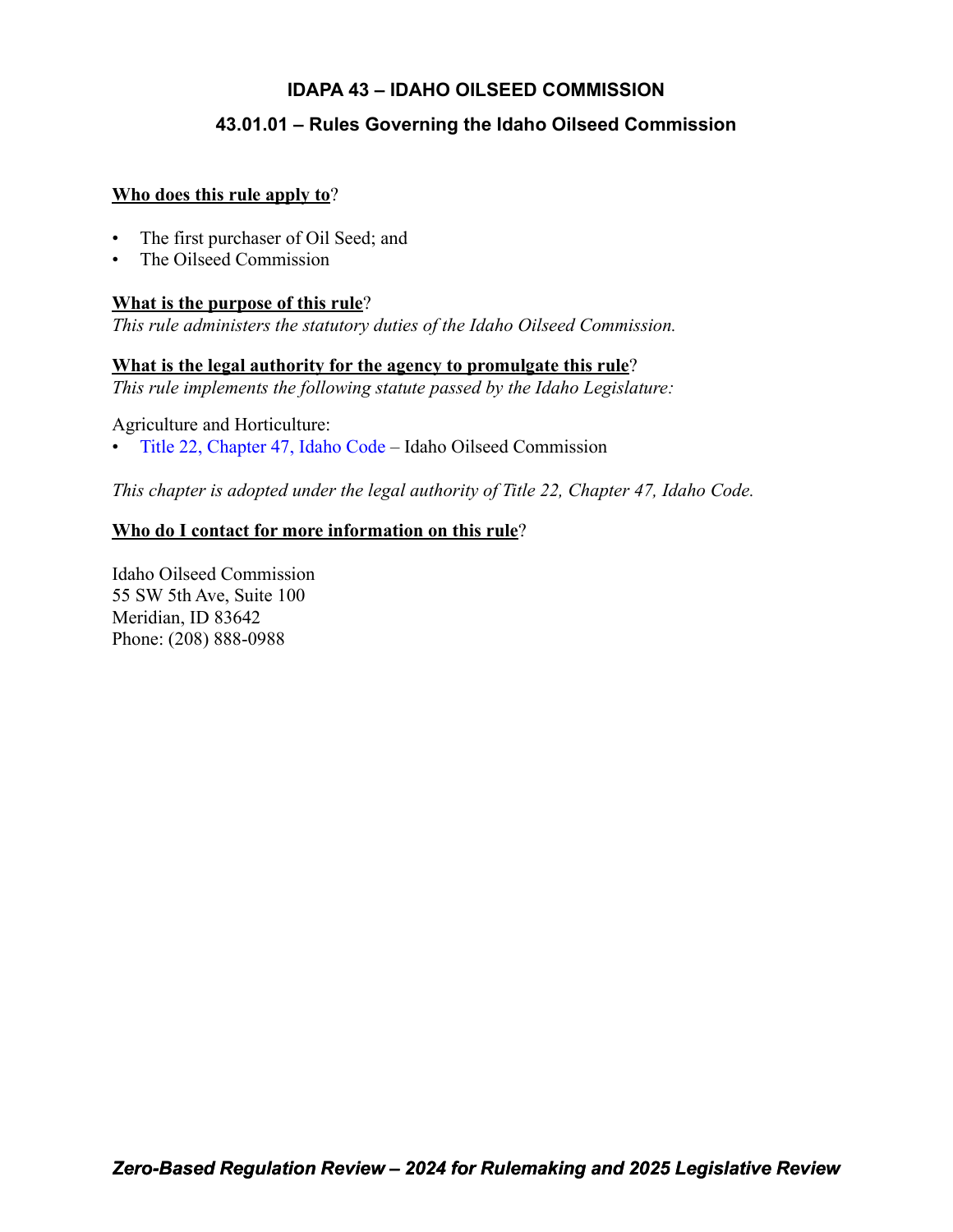# **IDAPA 43 – IDAHO OILSEED COMMISSION**

# **43.01.01 – Rules Governing the Idaho Oilseed Commission**

### **Who does this rule apply to**?

- The first purchaser of Oil Seed; and
- The Oilseed Commission

# **What is the purpose of this rule**?

*This rule administers the statutory duties of the Idaho Oilseed Commission.*

## **What is the legal authority for the agency to promulgate this rule**?

*This rule implements the following statute passed by the Idaho Legislature:*

Agriculture and Horticulture:

• [Title 22, Chapter 47, Idaho Code](https://legislature.idaho.gov/statutesrules/idstat/Title22/T22CH47/) – Idaho Oilseed Commission

*This chapter is adopted under the legal authority of Title 22, Chapter 47, Idaho Code.*

# **Who do I contact for more information on this rule**?

Idaho Oilseed Commission 55 SW 5th Ave, Suite 100 Meridian, ID 83642 Phone: (208) 888-0988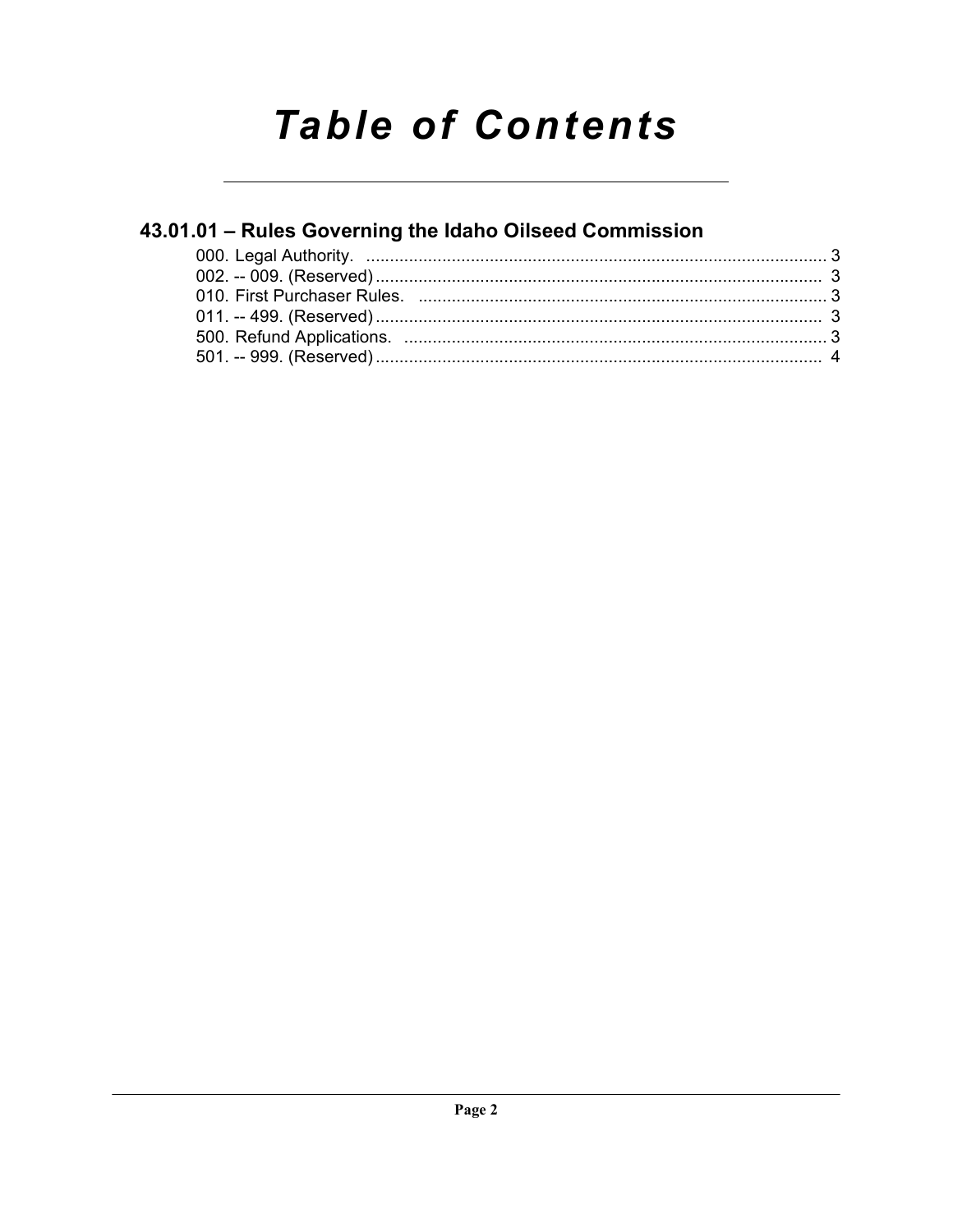# **Table of Contents**

# 43.01.01 - Rules Governing the Idaho Oilseed Commission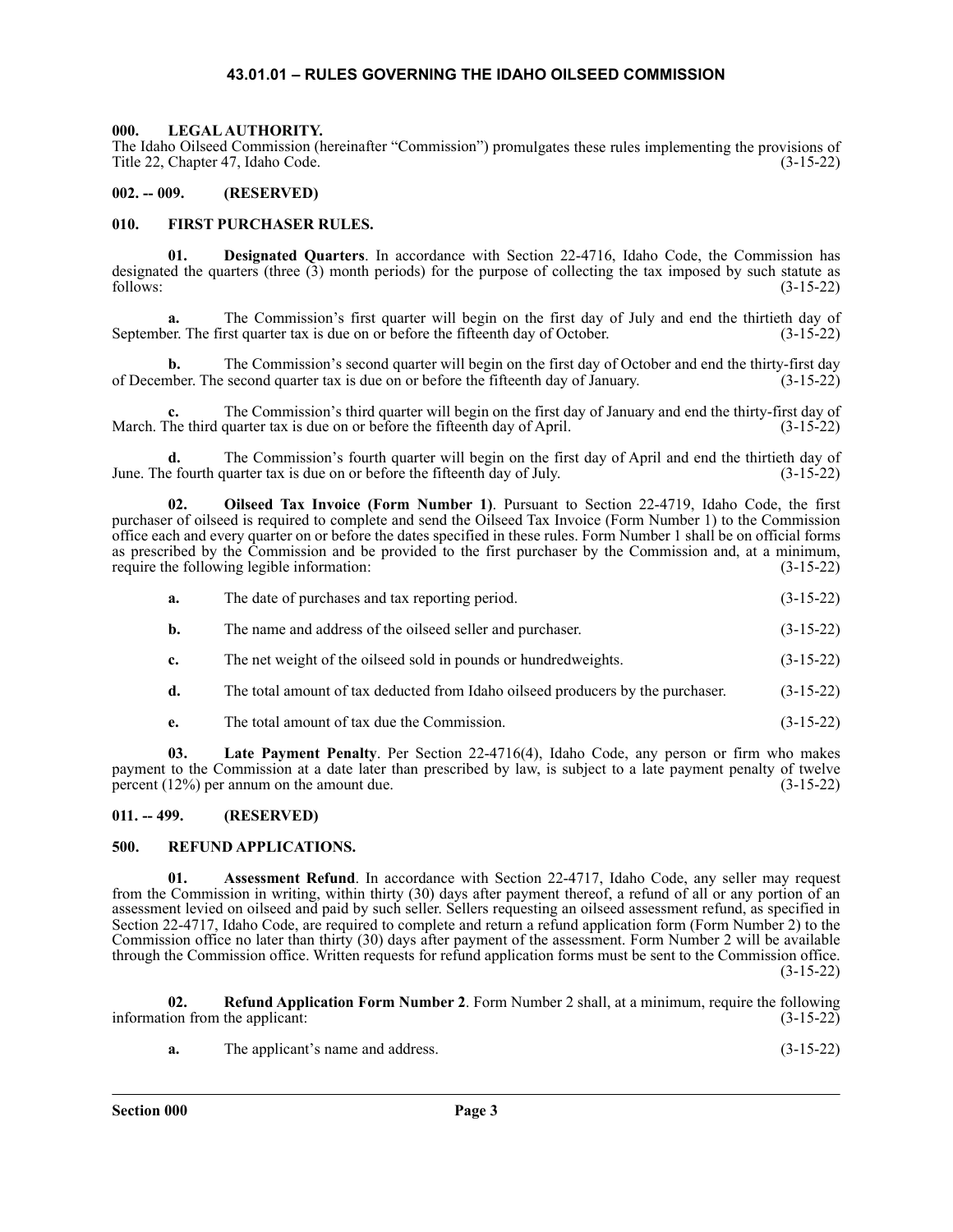#### **43.01.01 – RULES GOVERNING THE IDAHO OILSEED COMMISSION**

#### <span id="page-2-1"></span><span id="page-2-0"></span>**000. LEGAL AUTHORITY.**

The Idaho Oilseed Commission (hereinafter "Commission") promulgates these rules implementing the provisions of Title 22, Chapter 47, Idaho Code. (3-15-22)

#### <span id="page-2-2"></span>**002. -- 009. (RESERVED)**

#### <span id="page-2-3"></span>**010. FIRST PURCHASER RULES.**

**01. Designated Quarters**. In accordance with Section 22-4716, Idaho Code, the Commission has designated the quarters (three (3) month periods) for the purpose of collecting the tax imposed by such statute as follows: (3-15-22)

**a.** The Commission's first quarter will begin on the first day of July and end the thirtieth day of er. The first quarter tax is due on or before the fifteenth day of October. (3-15-22) September. The first quarter tax is due on or before the fifteenth day of October.

**b.** The Commission's second quarter will begin on the first day of October and end the thirty-first day of December. The second quarter tax is due on or before the fifteenth day of January. (3-15-22)

**c.** The Commission's third quarter will begin on the first day of January and end the thirty-first day of he third quarter tax is due on or before the fifteenth day of April. (3-15-22) March. The third quarter tax is due on or before the fifteenth day of April.

**d.** The Commission's fourth quarter will begin on the first day of April and end the thirtieth day of e fourth quarter tax is due on or before the fifteenth day of July. (3-15-22) June. The fourth quarter tax is due on or before the fifteenth day of July.

**02. Oilseed Tax Invoice (Form Number 1)**. Pursuant to Section 22-4719, Idaho Code, the first purchaser of oilseed is required to complete and send the Oilseed Tax Invoice (Form Number 1) to the Commission office each and every quarter on or before the dates specified in these rules. Form Number 1 shall be on official forms as prescribed by the Commission and be provided to the first purchaser by the Commission and, at a minimum, require the following legible information: (3-15-22)

| a. | The date of purchases and tax reporting period. | $(3-15-22)$ |
|----|-------------------------------------------------|-------------|
|    |                                                 |             |

- **b.** The name and address of the oilseed seller and purchaser. (3-15-22)
- **c.** The net weight of the oilseed sold in pounds or hundredweights. (3-15-22)
- **d.** The total amount of tax deducted from Idaho oilseed producers by the purchaser. (3-15-22)
- **e.** The total amount of tax due the Commission. (3-15-22)

**03. Late Payment Penalty**. Per Section 22-4716(4), Idaho Code, any person or firm who makes payment to the Commission at a date later than prescribed by law, is subject to a late payment penalty of twelve percent (12%) per annum on the amount due. (3-15-22) percent  $(12%)$  per annum on the amount due.

#### <span id="page-2-4"></span>**011. -- 499. (RESERVED)**

#### <span id="page-2-5"></span>**500. REFUND APPLICATIONS.**

**Assessment Refund**. In accordance with Section 22-4717, Idaho Code, any seller may request from the Commission in writing, within thirty (30) days after payment thereof, a refund of all or any portion of an assessment levied on oilseed and paid by such seller. Sellers requesting an oilseed assessment refund, as specified in Section 22-4717, Idaho Code, are required to complete and return a refund application form (Form Number 2) to the Commission office no later than thirty (30) days after payment of the assessment. Form Number 2 will be available through the Commission office. Written requests for refund application forms must be sent to the Commission office.  $(3-15-22)$ 

**02. Refund Application Form Number 2**. Form Number 2 shall, at a minimum, require the following ion from the applicant: (3-15-22) information from the applicant:

| The applicant's name and address.<br>а. | $(3-15-22)$ |  |
|-----------------------------------------|-------------|--|
|-----------------------------------------|-------------|--|